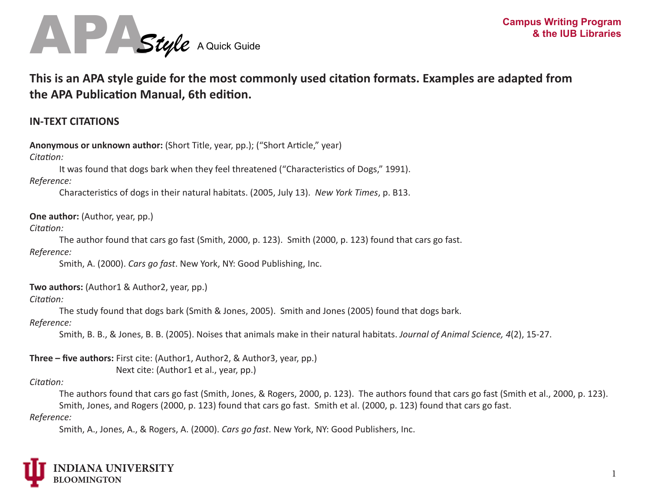

# **This is an APA style guide for the most commonly used citation formats. Examples are adapted from the APA Publication Manual, 6th edition.**

## **IN-TEXT CITATIONS**

**Anonymous or unknown author:** (Short Title, year, pp.); ("Short Article," year)

#### *Citation:*

It was found that dogs bark when they feel threatened ("Characteristics of Dogs," 1991).

## *Reference:*

Characteristics of dogs in their natural habitats. (2005, July 13). *New York Times*, p. B13.

**One author:** (Author, year, pp.)

## *Citation:*

The author found that cars go fast (Smith, 2000, p. 123). Smith (2000, p. 123) found that cars go fast.

#### *Reference:*

Smith, A. (2000). *Cars go fast*. New York, NY: Good Publishing, Inc.

## **Two authors:** (Author1 & Author2, year, pp.)

## *Citation:*

The study found that dogs bark (Smith & Jones, 2005). Smith and Jones (2005) found that dogs bark.

## *Reference:*

Smith, B. B., & Jones, B. B. (2005). Noises that animals make in their natural habitats. *Journal of Animal Science, 4*(2), 15-27.

**Three – five authors:** First cite: (Author1, Author2, & Author3, year, pp.) Next cite: (Author1 et al., year, pp.)

## *Citation:*

The authors found that cars go fast (Smith, Jones, & Rogers, 2000, p. 123). The authors found that cars go fast (Smith et al., 2000, p. 123). Smith, Jones, and Rogers (2000, p. 123) found that cars go fast. Smith et al. (2000, p. 123) found that cars go fast.

#### *Reference:*

Smith, A., Jones, A., & Rogers, A. (2000). *Cars go fast*. New York, NY: Good Publishers, Inc.

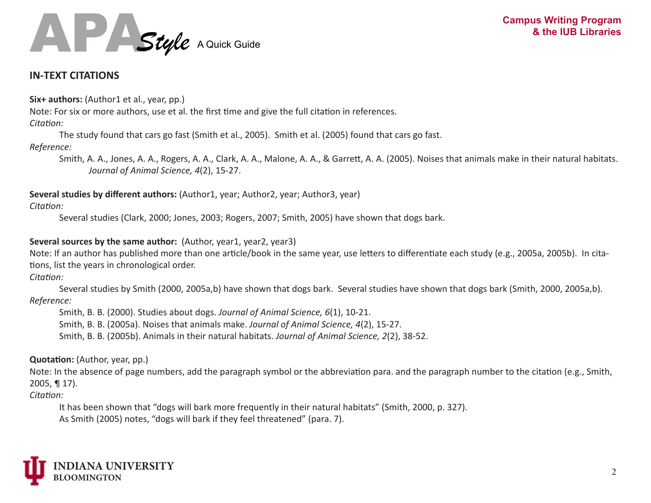

## **IN-TEXT CITATIONS**

Six+ authors: (Author1 et al., year, pp.)

Note: For six or more authors, use et al. the first time and give the full citation in references.

#### *Citation:*

The study found that cars go fast (Smith et al., 2005). Smith et al. (2005) found that cars go fast.

### *Reference:*

Smith, A. A., Jones, A. A., Rogers, A. A., Clark, A. A., Malone, A. A., & Garrett, A. A. (2005). Noises that animals make in their natural habitats. *Journal of Animal Science, 4*(2), 15-27.

**Several studies by different authors:** (Author1, year; Author2, year; Author3, year)

*Citation:* 

Several studies (Clark, 2000; Jones, 2003; Rogers, 2007; Smith, 2005) have shown that dogs bark.

## **Several sources by the same author:** (Author, year1, year2, year3)

Note: If an author has published more than one article/book in the same year, use letters to differentiate each study (e.g., 2005a, 2005b). In citations, list the years in chronological order.

*Citation:* 

Several studies by Smith (2000, 2005a,b) have shown that dogs bark. Several studies have shown that dogs bark (Smith, 2000, 2005a,b). *Reference:* 

Smith, B. B. (2000). Studies about dogs. *Journal of Animal Science, 6*(1), 10-21.

Smith, B. B. (2005a). Noises that animals make. *Journal of Animal Science, 4*(2), 15-27.

Smith, B. B. (2005b). Animals in their natural habitats. *Journal of Animal Science, 2*(2), 38-52.

## **Quotation:** (Author, year, pp.)

Note: In the absence of page numbers, add the paragraph symbol or the abbreviation para. and the paragraph number to the citation (e.g., Smith, 2005, ¶ 17).

*Citation:* 

It has been shown that "dogs will bark more frequently in their natural habitats" (Smith, 2000, p. 327). As Smith (2005) notes, "dogs will bark if they feel threatened" (para. 7).

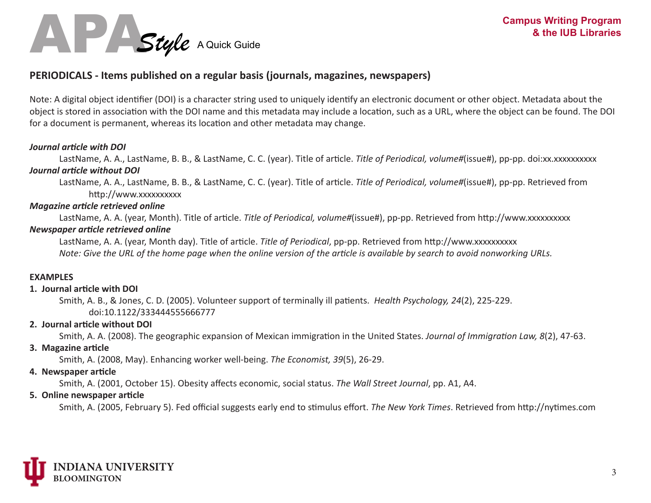

## **PERIODICALS - Items published on a regular basis (journals, magazines, newspapers)**

Note: A digital object identifier (DOI) is a character string used to uniquely identify an electronic document or other object. Metadata about the object is stored in association with the DOI name and this metadata may include a location, such as a URL, where the object can be found. The DOI for a document is permanent, whereas its location and other metadata may change.

#### *Journal article with DOI*

LastName, A. A., LastName, B. B., & LastName, C. C. (year). Title of article. *Title of Periodical, volume#*(issue#), pp-pp. doi:xx.xxxxxxxxxx *Journal article without DOI*

LastName, A. A., LastName, B. B., & LastName, C. C. (year). Title of article. *Title of Periodical, volume#*(issue#), pp-pp. Retrieved from http://www.xxxxxxxxxx

#### *Magazine article retrieved online*

LastName, A. A. (year, Month). Title of article. *Title of Periodical, volume#*(issue#), pp-pp. Retrieved from http://www.xxxxxxxxxx

#### *Newspaper article retrieved online*

LastName, A. A. (year, Month day). Title of article. *Title of Periodical*, pp-pp. Retrieved from http://www.xxxxxxxxxx *Note: Give the URL of the home page when the online version of the article is available by search to avoid nonworking URLs.*

#### **EXAMPLES**

#### **1. Journal article with DOI**

Smith, A. B., & Jones, C. D. (2005). Volunteer support of terminally ill patients. *Health Psychology, 24*(2), 225-229. doi:10.1122/333444555666777

#### **2. Journal article without DOI**

Smith, A. A. (2008). The geographic expansion of Mexican immigration in the United States. *Journal of Immigration Law, 8*(2), 47-63.

#### **3. Magazine article**

Smith, A. (2008, May). Enhancing worker well-being. *The Economist, 39*(5), 26-29.

#### **4. Newspaper article**

Smith, A. (2001, October 15). Obesity affects economic, social status. *The Wall Street Journal*, pp. A1, A4.

#### **5. Online newspaper article**

Smith, A. (2005, February 5). Fed official suggests early end to stimulus effort. *The New York Times*. Retrieved from http://nytimes.com

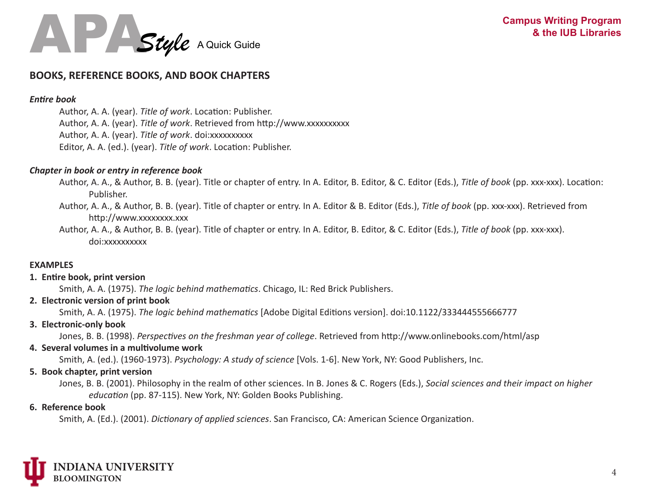

## **BOOKS, REFERENCE BOOKS, AND BOOK CHAPTERS**

#### *Entire book*

Author, A. A. (year). *Title of work*. Location: Publisher. Author, A. A. (year). *Title of work*. Retrieved from http://www.xxxxxxxxxx Author, A. A. (year). *Title of work*. doi:xxxxxxxxxx Editor, A. A. (ed.). (year). *Title of work*. Location: Publisher.

#### *Chapter in book or entry in reference book*

- Author, A. A., & Author, B. B. (year). Title or chapter of entry. In A. Editor, B. Editor, & C. Editor (Eds.), *Title of book* (pp. xxx-xxx). Location: Publisher.
- Author, A. A., & Author, B. B. (year). Title of chapter or entry. In A. Editor & B. Editor (Eds.), *Title of book* (pp. xxx-xxx). Retrieved from http://www.xxxxxxxx.xxx
- Author, A. A., & Author, B. B. (year). Title of chapter or entry. In A. Editor, B. Editor, & C. Editor (Eds.), *Title of book* (pp. xxx-xxx). doi:xxxxxxxxxx

#### **EXAMPLES**

#### **1. Entire book, print version**

Smith, A. A. (1975). *The logic behind mathematics*. Chicago, IL: Red Brick Publishers.

#### **2. Electronic version of print book**

Smith, A. A. (1975). *The logic behind mathematics* [Adobe Digital Editions version]. doi:10.1122/333444555666777

#### **3. Electronic-only book**

Jones, B. B. (1998). *Perspectives on the freshman year of college*. Retrieved from http://www.onlinebooks.com/html/asp

#### **4. Several volumes in a multivolume work**

Smith, A. (ed.). (1960-1973). *Psychology: A study of science* [Vols. 1-6]. New York, NY: Good Publishers, Inc.

#### **5. Book chapter, print version**

Jones, B. B. (2001). Philosophy in the realm of other sciences. In B. Jones & C. Rogers (Eds.), *Social sciences and their impact on higher education* (pp. 87-115). New York, NY: Golden Books Publishing.

#### **6. Reference book**

Smith, A. (Ed.). (2001). *Dictionary of applied sciences*. San Francisco, CA: American Science Organization.

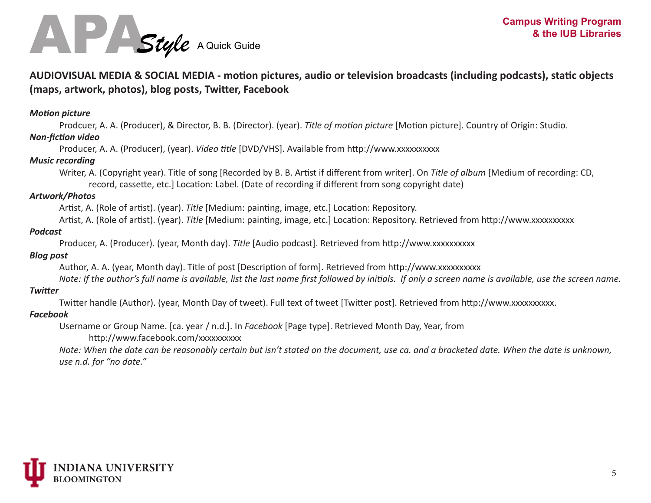

## **AUDIOVISUAL MEDIA & SOCIAL MEDIA - motion pictures, audio or television broadcasts (including podcasts), static objects (maps, artwork, photos), blog posts, Twitter, Facebook**

#### *Motion picture*

Prodcuer, A. A. (Producer), & Director, B. B. (Director). (year). *Title of motion picture* [Motion picture]. Country of Origin: Studio.

#### *Non-fiction video*

Producer, A. A. (Producer), (year). *Video title* [DVD/VHS]. Available from http://www.xxxxxxxxxx

#### *Music recording*

Writer, A. (Copyright year). Title of song [Recorded by B. B. Artist if different from writer]. On *Title of album* [Medium of recording: CD, record, cassette, etc.] Location: Label. (Date of recording if different from song copyright date)

#### *Artwork/Photos*

Artist, A. (Role of artist). (year). *Title* [Medium: painting, image, etc.] Location: Repository.

Artist, A. (Role of artist). (year). *Title* [Medium: painting, image, etc.] Location: Repository. Retrieved from http://www.xxxxxxxxxx

#### *Podcast*

Producer, A. (Producer). (year, Month day). *Title* [Audio podcast]. Retrieved from http://www.xxxxxxxxxx

#### *Blog post*

Author, A. A. (year, Month day). Title of post [Description of form]. Retrieved from http://www.xxxxxxxxxx

*Note: If the author's full name is available, list the last name first followed by initials. If only a screen name is available, use the screen name.*

#### *Twitter*

Twitter handle (Author). (year, Month Day of tweet). Full text of tweet [Twitter post]. Retrieved from http://www.xxxxxxxxxx.

#### *Facebook*

Username or Group Name. [ca. year / n.d.]. In *Facebook* [Page type]. Retrieved Month Day, Year, from

http://www.facebook.com/xxxxxxxxxx

*Note: When the date can be reasonably certain but isn't stated on the document, use ca. and a bracketed date. When the date is unknown, use n.d. for "no date."*